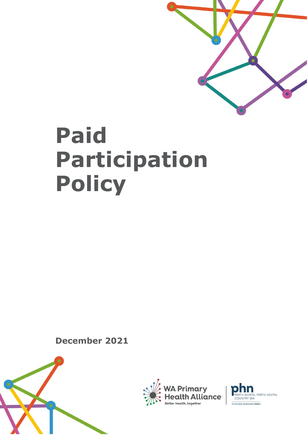

# **Paid Participation Policy**

**December 2021**





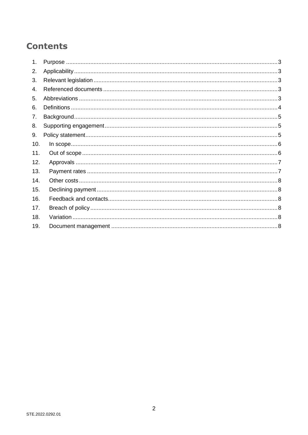# **Contents**

| 1.  |  |
|-----|--|
| 2.  |  |
| 3.  |  |
| 4.  |  |
| 5.  |  |
| 6.  |  |
| 7.  |  |
| 8.  |  |
| 9.  |  |
| 10. |  |
| 11. |  |
| 12. |  |
| 13. |  |
| 14. |  |
| 15. |  |
| 16. |  |
| 17. |  |
| 18. |  |
| 19. |  |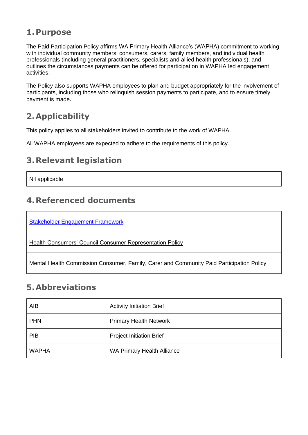#### <span id="page-2-0"></span>**1.Purpose**

The Paid Participation Policy affirms WA Primary Health Alliance's (WAPHA) commitment to working with individual community members, consumers, carers, family members, and individual health professionals (including general practitioners, specialists and allied health professionals), and outlines the circumstances payments can be offered for participation in WAPHA led engagement activities.

The Policy also supports WAPHA employees to plan and budget appropriately for the involvement of participants, including those who relinquish session payments to participate, and to ensure timely payment is made.

## <span id="page-2-1"></span>**2.Applicability**

This policy applies to all stakeholders invited to contribute to the work of WAPHA.

All WAPHA employees are expected to adhere to the requirements of this policy.

## <span id="page-2-2"></span>**3.Relevant legislation**

Nil applicable

#### <span id="page-2-3"></span>**4.Referenced documents**

[Stakeholder Engagement Framework](https://waphanfp.sharepoint.com/sites/wallace/SE/SE/SitePages/Stakeholder-Engagement-Framework.aspx?from=SendByEmail&e=_3UWgyGZ8km6uU5wpHTWFQ&at=9)

[Health Consumers' Council Consumer Representation Policy](https://www.hconc.org.au/wp-content/uploads/2020/07/SAA_05_CCE_Engagement-Policy.pdf)

[Mental Health Commission Consumer, Family, Carer and Community Paid Participation Policy](https://www.mhc.wa.gov.au/media/3614/paid-participation-policy-consultation-completed-amended-policy.pdf)

#### <span id="page-2-4"></span>**5.Abbreviations**

| AIB          | <b>Activity Initiation Brief</b> |
|--------------|----------------------------------|
| <b>PHN</b>   | <b>Primary Health Network</b>    |
| <b>PIB</b>   | <b>Project Initiation Brief</b>  |
| <b>WAPHA</b> | WA Primary Health Alliance       |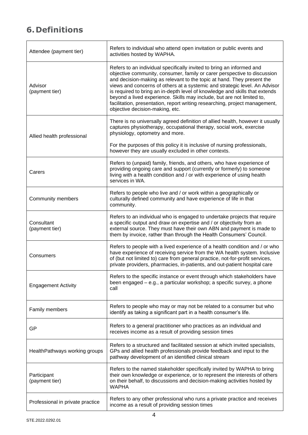# <span id="page-3-0"></span>**6.Definitions**

| Attendee (payment tier)          | Refers to individual who attend open invitation or public events and<br>activities hosted by WAPHA.                                                                                                                                                                                                                                                                                                                                                                                                                                                                                  |  |  |
|----------------------------------|--------------------------------------------------------------------------------------------------------------------------------------------------------------------------------------------------------------------------------------------------------------------------------------------------------------------------------------------------------------------------------------------------------------------------------------------------------------------------------------------------------------------------------------------------------------------------------------|--|--|
| Advisor<br>(payment tier)        | Refers to an individual specifically invited to bring an informed and<br>objective community, consumer, family or carer perspective to discussion<br>and decision-making as relevant to the topic at hand. They present the<br>views and concerns of others at a systemic and strategic level. An Advisor<br>is required to bring an in-depth level of knowledge and skills that extends<br>beyond a lived experience. Skills may include, but are not limited to,<br>facilitation, presentation, report writing researching, project management,<br>objective decision-making, etc. |  |  |
| Allied health professional       | There is no universally agreed definition of allied health, however it usually<br>captures physiotherapy, occupational therapy, social work, exercise<br>physiology, optometry and more.                                                                                                                                                                                                                                                                                                                                                                                             |  |  |
|                                  | For the purposes of this policy it is inclusive of nursing professionals,<br>however they are usually excluded in other contexts.                                                                                                                                                                                                                                                                                                                                                                                                                                                    |  |  |
| Carers                           | Refers to (unpaid) family, friends, and others, who have experience of<br>providing ongoing care and support (currently or formerly) to someone<br>living with a health condition and / or with experience of using health<br>services in WA.                                                                                                                                                                                                                                                                                                                                        |  |  |
| <b>Community members</b>         | Refers to people who live and / or work within a geographically or<br>culturally defined community and have experience of life in that<br>community.                                                                                                                                                                                                                                                                                                                                                                                                                                 |  |  |
| Consultant<br>(payment tier)     | Refers to an individual who is engaged to undertake projects that require<br>a specific output and draw on expertise and / or objectivity from an<br>external source. They must have their own ABN and payment is made to<br>them by invoice, rather than through the Health Consumers' Council.                                                                                                                                                                                                                                                                                     |  |  |
| Consumers                        | Refers to people with a lived experience of a health condition and / or who<br>have experience of receiving service from the WA health system. Inclusive<br>of (but not limited to) care from general practice, not-for-profit services,<br>private providers, pharmacies, in-patients, and out-patient hospital care                                                                                                                                                                                                                                                                |  |  |
| <b>Engagement Activity</b>       | Refers to the specific instance or event through which stakeholders have<br>been engaged – e.g., a particular workshop; a specific survey, a phone<br>call                                                                                                                                                                                                                                                                                                                                                                                                                           |  |  |
| Family members                   | Refers to people who may or may not be related to a consumer but who<br>identify as taking a significant part in a health consumer's life.                                                                                                                                                                                                                                                                                                                                                                                                                                           |  |  |
| GP                               | Refers to a general practitioner who practices as an individual and<br>receives income as a result of providing session times                                                                                                                                                                                                                                                                                                                                                                                                                                                        |  |  |
| HealthPathways working groups    | Refers to a structured and facilitated session at which invited specialists,<br>GPs and allied health professionals provide feedback and input to the<br>pathway development of an identified clinical stream                                                                                                                                                                                                                                                                                                                                                                        |  |  |
| Participant<br>(payment tier)    | Refers to the named stakeholder specifically invited by WAPHA to bring<br>their own knowledge or experience, or to represent the interests of others<br>on their behalf, to discussions and decision-making activities hosted by<br><b>WAPHA</b>                                                                                                                                                                                                                                                                                                                                     |  |  |
| Professional in private practice | Refers to any other professional who runs a private practice and receives<br>income as a result of providing session times                                                                                                                                                                                                                                                                                                                                                                                                                                                           |  |  |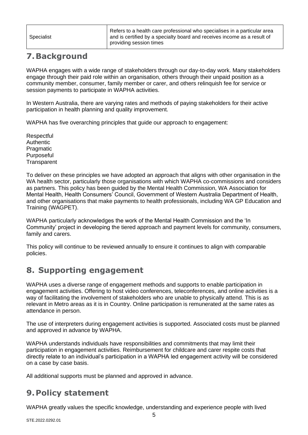|            | Refers to a health care professional who specialises in a particular area |
|------------|---------------------------------------------------------------------------|
| Specialist | and is certified by a specialty board and receives income as a result of  |
|            | providing session times                                                   |

## <span id="page-4-0"></span>**7.Background**

WAPHA engages with a wide range of stakeholders through our day-to-day work. Many stakeholders engage through their paid role within an organisation, others through their unpaid position as a community member, consumer, family member or carer, and others relinquish fee for service or session payments to participate in WAPHA activities.

In Western Australia, there are varying rates and methods of paying stakeholders for their active participation in health planning and quality improvement.

WAPHA has five overarching principles that guide our approach to engagement:

**Respectful** Authentic **Pragmatic** Purposeful **Transparent** 

To deliver on these principles we have adopted an approach that aligns with other organisation in the WA health sector, particularly those organisations with which WAPHA co-commissions and considers as partners. This policy has been guided by the Mental Health Commission, WA Association for Mental Health, Health Consumers' Council, Government of Western Australia Department of Health, and other organisations that make payments to health professionals, including WA GP Education and Training (WAGPET).

WAPHA particularly acknowledges the work of the Mental Health Commission and the 'In Community' project in developing the tiered approach and payment levels for community, consumers, family and carers.

This policy will continue to be reviewed annually to ensure it continues to align with comparable policies.

#### <span id="page-4-1"></span>**8. Supporting engagement**

WAPHA uses a diverse range of engagement methods and supports to enable participation in engagement activities. Offering to host video conferences, teleconferences, and online activities is a way of facilitating the involvement of stakeholders who are unable to physically attend. This is as relevant in Metro areas as it is in Country. Online participation is remunerated at the same rates as attendance in person.

The use of interpreters during engagement activities is supported. Associated costs must be planned and approved in advance by WAPHA.

WAPHA understands individuals have responsibilities and commitments that may limit their participation in engagement activities. Reimbursement for childcare and carer respite costs that directly relate to an individual's participation in a WAPHA led engagement activity will be considered on a case by case basis.

All additional supports must be planned and approved in advance.

#### <span id="page-4-2"></span>**9.Policy statement**

WAPHA greatly values the specific knowledge, understanding and experience people with lived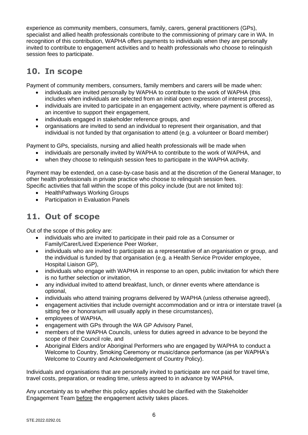experience as community members, consumers, family, carers, general practitioners (GPs), specialist and allied health professionals contribute to the commissioning of primary care in WA. In recognition of this contribution, WAPHA offers payments to individuals when they are personally invited to contribute to engagement activities and to health professionals who choose to relinquish session fees to participate.

## <span id="page-5-0"></span>**10. In scope**

Payment of community members, consumers, family members and carers will be made when:

- individuals are invited personally by WAPHA to contribute to the work of WAPHA (this includes when individuals are selected from an initial open expression of interest process),
- individuals are invited to participate in an engagement activity, where payment is offered as an incentive to support their engagement,
- individuals engaged in stakeholder reference groups, and
- organisations are invited to send an individual to represent their organisation, and that individual is not funded by that organisation to attend (e.g. a volunteer or Board member)

Payment to GPs, specialists, nursing and allied health professionals will be made when

- individuals are personally invited by WAPHA to contribute to the work of WAPHA, and
- when they choose to relinquish session fees to participate in the WAPHA activity.

Payment may be extended, on a case-by-case basis and at the discretion of the General Manager, to other health professionals in private practice who choose to relinquish session fees. Specific activities that fall within the scope of this policy include (but are not limited to):

- HealthPathways Working Groups
- Participation in Evaluation Panels

## <span id="page-5-1"></span>**11. Out of scope**

Out of the scope of this policy are:

- individuals who are invited to participate in their paid role as a Consumer or Family/Carer/Lived Experience Peer Worker,
- individuals who are invited to participate as a representative of an organisation or group, and the individual is funded by that organisation (e.g. a Health Service Provider employee, Hospital Liaison GP),
- individuals who engage with WAPHA in response to an open, public invitation for which there is no further selection or invitation,
- any individual invited to attend breakfast, lunch, or dinner events where attendance is optional,
- individuals who attend training programs delivered by WAPHA (unless otherwise agreed),
- engagement activities that include overnight accommodation and or intra or interstate travel (a sitting fee or honorarium will usually apply in these circumstances),
- employees of WAPHA,
- engagement with GPs through the WA GP Advisory Panel,
- members of the WAPHA Councils, unless for duties agreed in advance to be beyond the scope of their Council role, and
- Aboriginal Elders and/or Aboriginal Performers who are engaged by WAPHA to conduct a Welcome to Country, Smoking Ceremony or music/dance performance (as per WAPHA's Welcome to Country and Acknowledgement of Country Policy).

Individuals and organisations that are personally invited to participate are not paid for travel time, travel costs, preparation, or reading time, unless agreed to in advance by WAPHA.

Any uncertainty as to whether this policy applies should be clarified with the Stakeholder Engagement Team before the engagement activity takes places.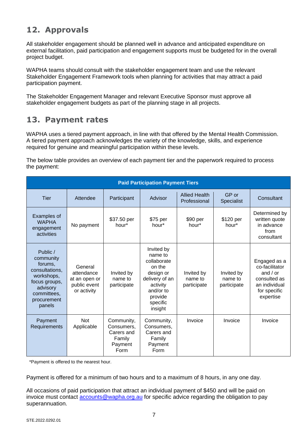## <span id="page-6-0"></span>**12. Approvals**

All stakeholder engagement should be planned well in advance and anticipated expenditure on external facilitation, paid participation and engagement supports must be budgeted for in the overall project budget.

WAPHA teams should consult with the stakeholder engagement team and use the relevant Stakeholder Engagement Framework tools when planning for activities that may attract a paid participation payment.

The Stakeholder Engagement Manager and relevant Executive Sponsor must approve all stakeholder engagement budgets as part of the planning stage in all projects.

#### <span id="page-6-1"></span>**13. Payment rates**

WAPHA uses a tiered payment approach, in line with that offered by the Mental Health Commission. A tiered payment approach acknowledges the variety of the knowledge, skills, and experience required for genuine and meaningful participation within these levels.

The below table provides an overview of each payment tier and the paperwork required to process the payment:

| <b>Paid Participation Payment Tiers</b>                                                                                               |                                                                       |                                                                     |                                                                                                                                          |                                      |                                      |                                                                                                            |
|---------------------------------------------------------------------------------------------------------------------------------------|-----------------------------------------------------------------------|---------------------------------------------------------------------|------------------------------------------------------------------------------------------------------------------------------------------|--------------------------------------|--------------------------------------|------------------------------------------------------------------------------------------------------------|
| Tier                                                                                                                                  | Attendee                                                              | Participant                                                         | Advisor                                                                                                                                  | <b>Allied Health</b><br>Professional | GP or<br><b>Specialist</b>           | Consultant                                                                                                 |
| Examples of<br><b>WAPHA</b><br>engagement<br>activities                                                                               | No payment                                                            | \$37.50 per<br>hour*                                                | \$75 per<br>hour*                                                                                                                        | \$90 per<br>hour*                    | \$120 per<br>hour*                   | Determined by<br>written quote<br>in advance<br>from<br>consultant                                         |
| Public /<br>community<br>forums,<br>consultations.<br>workshops,<br>focus groups,<br>advisory<br>committees,<br>procurement<br>panels | General<br>attendance<br>at an open or<br>public event<br>or activity | Invited by<br>name to<br>participate                                | Invited by<br>name to<br>collaborate<br>on the<br>design or<br>delivery of an<br>activity<br>and/or to<br>provide<br>specific<br>insight | Invited by<br>name to<br>participate | Invited by<br>name to<br>participate | Engaged as a<br>co-facilitator<br>and $/$ or<br>consulted as<br>an individual<br>for specific<br>expertise |
| Payment<br>Requirements                                                                                                               | <b>Not</b><br>Applicable                                              | Community,<br>Consumers,<br>Carers and<br>Family<br>Payment<br>Form | Community,<br>Consumers,<br>Carers and<br>Family<br>Payment<br>Form                                                                      | Invoice                              | Invoice                              | Invoice                                                                                                    |

\*Payment is offered to the nearest hour.

Payment is offered for a minimum of two hours and to a maximum of 8 hours, in any one day.

All occasions of paid participation that attract an individual payment of \$450 and will be paid on invoice must contact [accounts@wapha.org.au](mailto:accounts@wapha.org.au) for specific advice regarding the obligation to pay superannuation.